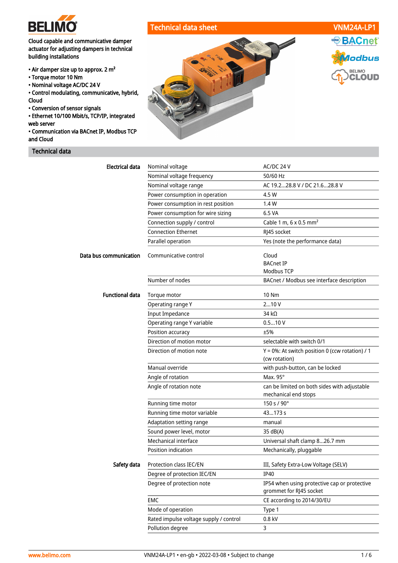

# Technical data sheet VNM24A-LP1

net:

lodbus

**BELIMO CLOUD** 

ASHRAE BAC

Cloud capable and communicative damper actuator for adjusting dampers in technical building installations

- Air damper size up to approx. 2 m²
- Torque motor 10 Nm
- Nominal voltage AC/DC 24 V

• Control modulating, communicative, hybrid, Cloud

• Conversion of sensor signals

• Ethernet 10/100 Mbit/s, TCP/IP, integrated web server

• Communication via BACnet IP, Modbus TCP and Cloud

# Technical data



| <b>Electrical data</b><br>Nominal voltage<br>AC/DC 24 V<br>Nominal voltage frequency<br>50/60 Hz<br>Nominal voltage range<br>AC 19.228.8 V / DC 21.628.8 V<br>Power consumption in operation<br>4.5 W<br>Power consumption in rest position<br>1.4W<br>Power consumption for wire sizing<br>6.5 VA<br>Cable 1 m, $6 \times 0.5$ mm <sup>2</sup><br>Connection supply / control<br><b>Connection Ethernet</b><br>RJ45 socket<br>Parallel operation<br>Yes (note the performance data)<br>Data bus communication<br>Communicative control<br>Cloud<br><b>BACnet IP</b><br><b>Modbus TCP</b><br>Number of nodes<br>BACnet / Modbus see interface description<br><b>Functional data</b><br><b>10 Nm</b><br>Torque motor<br>210V<br>Operating range Y<br><b>Input Impedance</b><br>34 $k\Omega$<br>0.510V<br>Operating range Y variable<br>Position accuracy<br>±5%<br>Direction of motion motor<br>selectable with switch 0/1<br>Direction of motion note<br>Y = 0%: At switch position 0 (ccw rotation) / 1<br>(cw rotation)<br>Manual override<br>with push-button, can be locked<br>Max. $95^\circ$<br>Angle of rotation<br>Angle of rotation note<br>can be limited on both sides with adjustable<br>mechanical end stops<br>150 s / 90°<br>Running time motor<br>43173 s<br>Running time motor variable<br>Adaptation setting range<br>manual<br>Sound power level, motor<br>35 dB(A)<br>Mechanical interface<br>Universal shaft clamp 826.7 mm |
|--------------------------------------------------------------------------------------------------------------------------------------------------------------------------------------------------------------------------------------------------------------------------------------------------------------------------------------------------------------------------------------------------------------------------------------------------------------------------------------------------------------------------------------------------------------------------------------------------------------------------------------------------------------------------------------------------------------------------------------------------------------------------------------------------------------------------------------------------------------------------------------------------------------------------------------------------------------------------------------------------------------------------------------------------------------------------------------------------------------------------------------------------------------------------------------------------------------------------------------------------------------------------------------------------------------------------------------------------------------------------------------------------------------------------------------------------|
|                                                                                                                                                                                                                                                                                                                                                                                                                                                                                                                                                                                                                                                                                                                                                                                                                                                                                                                                                                                                                                                                                                                                                                                                                                                                                                                                                                                                                                                  |
|                                                                                                                                                                                                                                                                                                                                                                                                                                                                                                                                                                                                                                                                                                                                                                                                                                                                                                                                                                                                                                                                                                                                                                                                                                                                                                                                                                                                                                                  |
|                                                                                                                                                                                                                                                                                                                                                                                                                                                                                                                                                                                                                                                                                                                                                                                                                                                                                                                                                                                                                                                                                                                                                                                                                                                                                                                                                                                                                                                  |
|                                                                                                                                                                                                                                                                                                                                                                                                                                                                                                                                                                                                                                                                                                                                                                                                                                                                                                                                                                                                                                                                                                                                                                                                                                                                                                                                                                                                                                                  |
|                                                                                                                                                                                                                                                                                                                                                                                                                                                                                                                                                                                                                                                                                                                                                                                                                                                                                                                                                                                                                                                                                                                                                                                                                                                                                                                                                                                                                                                  |
|                                                                                                                                                                                                                                                                                                                                                                                                                                                                                                                                                                                                                                                                                                                                                                                                                                                                                                                                                                                                                                                                                                                                                                                                                                                                                                                                                                                                                                                  |
|                                                                                                                                                                                                                                                                                                                                                                                                                                                                                                                                                                                                                                                                                                                                                                                                                                                                                                                                                                                                                                                                                                                                                                                                                                                                                                                                                                                                                                                  |
|                                                                                                                                                                                                                                                                                                                                                                                                                                                                                                                                                                                                                                                                                                                                                                                                                                                                                                                                                                                                                                                                                                                                                                                                                                                                                                                                                                                                                                                  |
|                                                                                                                                                                                                                                                                                                                                                                                                                                                                                                                                                                                                                                                                                                                                                                                                                                                                                                                                                                                                                                                                                                                                                                                                                                                                                                                                                                                                                                                  |
|                                                                                                                                                                                                                                                                                                                                                                                                                                                                                                                                                                                                                                                                                                                                                                                                                                                                                                                                                                                                                                                                                                                                                                                                                                                                                                                                                                                                                                                  |
|                                                                                                                                                                                                                                                                                                                                                                                                                                                                                                                                                                                                                                                                                                                                                                                                                                                                                                                                                                                                                                                                                                                                                                                                                                                                                                                                                                                                                                                  |
|                                                                                                                                                                                                                                                                                                                                                                                                                                                                                                                                                                                                                                                                                                                                                                                                                                                                                                                                                                                                                                                                                                                                                                                                                                                                                                                                                                                                                                                  |
|                                                                                                                                                                                                                                                                                                                                                                                                                                                                                                                                                                                                                                                                                                                                                                                                                                                                                                                                                                                                                                                                                                                                                                                                                                                                                                                                                                                                                                                  |
|                                                                                                                                                                                                                                                                                                                                                                                                                                                                                                                                                                                                                                                                                                                                                                                                                                                                                                                                                                                                                                                                                                                                                                                                                                                                                                                                                                                                                                                  |
|                                                                                                                                                                                                                                                                                                                                                                                                                                                                                                                                                                                                                                                                                                                                                                                                                                                                                                                                                                                                                                                                                                                                                                                                                                                                                                                                                                                                                                                  |
|                                                                                                                                                                                                                                                                                                                                                                                                                                                                                                                                                                                                                                                                                                                                                                                                                                                                                                                                                                                                                                                                                                                                                                                                                                                                                                                                                                                                                                                  |
|                                                                                                                                                                                                                                                                                                                                                                                                                                                                                                                                                                                                                                                                                                                                                                                                                                                                                                                                                                                                                                                                                                                                                                                                                                                                                                                                                                                                                                                  |
|                                                                                                                                                                                                                                                                                                                                                                                                                                                                                                                                                                                                                                                                                                                                                                                                                                                                                                                                                                                                                                                                                                                                                                                                                                                                                                                                                                                                                                                  |
|                                                                                                                                                                                                                                                                                                                                                                                                                                                                                                                                                                                                                                                                                                                                                                                                                                                                                                                                                                                                                                                                                                                                                                                                                                                                                                                                                                                                                                                  |
|                                                                                                                                                                                                                                                                                                                                                                                                                                                                                                                                                                                                                                                                                                                                                                                                                                                                                                                                                                                                                                                                                                                                                                                                                                                                                                                                                                                                                                                  |
|                                                                                                                                                                                                                                                                                                                                                                                                                                                                                                                                                                                                                                                                                                                                                                                                                                                                                                                                                                                                                                                                                                                                                                                                                                                                                                                                                                                                                                                  |
|                                                                                                                                                                                                                                                                                                                                                                                                                                                                                                                                                                                                                                                                                                                                                                                                                                                                                                                                                                                                                                                                                                                                                                                                                                                                                                                                                                                                                                                  |
|                                                                                                                                                                                                                                                                                                                                                                                                                                                                                                                                                                                                                                                                                                                                                                                                                                                                                                                                                                                                                                                                                                                                                                                                                                                                                                                                                                                                                                                  |
|                                                                                                                                                                                                                                                                                                                                                                                                                                                                                                                                                                                                                                                                                                                                                                                                                                                                                                                                                                                                                                                                                                                                                                                                                                                                                                                                                                                                                                                  |
|                                                                                                                                                                                                                                                                                                                                                                                                                                                                                                                                                                                                                                                                                                                                                                                                                                                                                                                                                                                                                                                                                                                                                                                                                                                                                                                                                                                                                                                  |
|                                                                                                                                                                                                                                                                                                                                                                                                                                                                                                                                                                                                                                                                                                                                                                                                                                                                                                                                                                                                                                                                                                                                                                                                                                                                                                                                                                                                                                                  |
|                                                                                                                                                                                                                                                                                                                                                                                                                                                                                                                                                                                                                                                                                                                                                                                                                                                                                                                                                                                                                                                                                                                                                                                                                                                                                                                                                                                                                                                  |
|                                                                                                                                                                                                                                                                                                                                                                                                                                                                                                                                                                                                                                                                                                                                                                                                                                                                                                                                                                                                                                                                                                                                                                                                                                                                                                                                                                                                                                                  |
|                                                                                                                                                                                                                                                                                                                                                                                                                                                                                                                                                                                                                                                                                                                                                                                                                                                                                                                                                                                                                                                                                                                                                                                                                                                                                                                                                                                                                                                  |
| Position indication<br>Mechanically, pluggable                                                                                                                                                                                                                                                                                                                                                                                                                                                                                                                                                                                                                                                                                                                                                                                                                                                                                                                                                                                                                                                                                                                                                                                                                                                                                                                                                                                                   |
| Safety data<br>Protection class IEC/EN<br>III, Safety Extra-Low Voltage (SELV)                                                                                                                                                                                                                                                                                                                                                                                                                                                                                                                                                                                                                                                                                                                                                                                                                                                                                                                                                                                                                                                                                                                                                                                                                                                                                                                                                                   |
| Degree of protection IEC/EN<br><b>IP40</b>                                                                                                                                                                                                                                                                                                                                                                                                                                                                                                                                                                                                                                                                                                                                                                                                                                                                                                                                                                                                                                                                                                                                                                                                                                                                                                                                                                                                       |
| Degree of protection note<br>IP54 when using protective cap or protective<br>grommet for RJ45 socket                                                                                                                                                                                                                                                                                                                                                                                                                                                                                                                                                                                                                                                                                                                                                                                                                                                                                                                                                                                                                                                                                                                                                                                                                                                                                                                                             |
| EMC<br>CE according to 2014/30/EU                                                                                                                                                                                                                                                                                                                                                                                                                                                                                                                                                                                                                                                                                                                                                                                                                                                                                                                                                                                                                                                                                                                                                                                                                                                                                                                                                                                                                |
| Mode of operation<br>Type 1                                                                                                                                                                                                                                                                                                                                                                                                                                                                                                                                                                                                                                                                                                                                                                                                                                                                                                                                                                                                                                                                                                                                                                                                                                                                                                                                                                                                                      |
|                                                                                                                                                                                                                                                                                                                                                                                                                                                                                                                                                                                                                                                                                                                                                                                                                                                                                                                                                                                                                                                                                                                                                                                                                                                                                                                                                                                                                                                  |
| 0.8 kV<br>Rated impulse voltage supply / control                                                                                                                                                                                                                                                                                                                                                                                                                                                                                                                                                                                                                                                                                                                                                                                                                                                                                                                                                                                                                                                                                                                                                                                                                                                                                                                                                                                                 |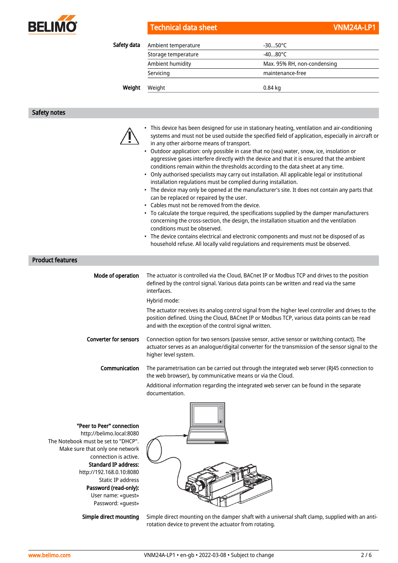

|  | Technical data sheet |  |  |  |
|--|----------------------|--|--|--|
|  |                      |  |  |  |
|  |                      |  |  |  |

| Safety data | Ambient temperature | $-3050^{\circ}$ C           |  |
|-------------|---------------------|-----------------------------|--|
|             | Storage temperature | $-4080^{\circ}$ C           |  |
|             | Ambient humidity    | Max. 95% RH, non-condensing |  |
|             | Servicing           | maintenance-free            |  |
| Weight      | Weight              | 0.84 kg                     |  |
|             |                     |                             |  |

#### Safety notes

- This device has been designed for use in stationary heating, ventilation and air-conditioning systems and must not be used outside the specified field of application, especially in aircraft or in any other airborne means of transport.
- Outdoor application: only possible in case that no (sea) water, snow, ice, insolation or aggressive gases interfere directly with the device and that it is ensured that the ambient conditions remain within the thresholds according to the data sheet at any time.
- Only authorised specialists may carry out installation. All applicable legal or institutional installation regulations must be complied during installation.
- The device may only be opened at the manufacturer's site. It does not contain any parts that can be replaced or repaired by the user.
- Cables must not be removed from the device.
- To calculate the torque required, the specifications supplied by the damper manufacturers concerning the cross-section, the design, the installation situation and the ventilation conditions must be observed.
- The device contains electrical and electronic components and must not be disposed of as household refuse. All locally valid regulations and requirements must be observed.

### Product features

| Mode of operation                                                                                                                                                                                                                        | The actuator is controlled via the Cloud, BACnet IP or Modbus TCP and drives to the position<br>defined by the control signal. Various data points can be written and read via the same<br>interfaces.                                                     |
|------------------------------------------------------------------------------------------------------------------------------------------------------------------------------------------------------------------------------------------|------------------------------------------------------------------------------------------------------------------------------------------------------------------------------------------------------------------------------------------------------------|
|                                                                                                                                                                                                                                          | Hybrid mode:                                                                                                                                                                                                                                               |
|                                                                                                                                                                                                                                          | The actuator receives its analog control signal from the higher level controller and drives to the<br>position defined. Using the Cloud, BACnet IP or Modbus TCP, various data points can be read<br>and with the exception of the control signal written. |
| <b>Converter for sensors</b>                                                                                                                                                                                                             | Connection option for two sensors (passive sensor, active sensor or switching contact). The<br>actuator serves as an analogue/digital converter for the transmission of the sensor signal to the<br>higher level system.                                   |
| <b>Communication</b>                                                                                                                                                                                                                     | The parametrisation can be carried out through the integrated web server (RJ45 connection to<br>the web browser), by communicative means or via the Cloud.                                                                                                 |
|                                                                                                                                                                                                                                          | Additional information regarding the integrated web server can be found in the separate<br>documentation.                                                                                                                                                  |
| "Peer to Peer" connection<br>http://belimo.local:8080<br>The Notebook must be set to "DHCP".<br>Make sure that only one network<br>connection is active.<br><b>Standard IP address:</b><br>http://192.168.0.10:8080<br>Static ID address |                                                                                                                                                                                                                                                            |

Static IP addre Password (read-only): User name: «guest» Password: «guest»

Simple direct mounting

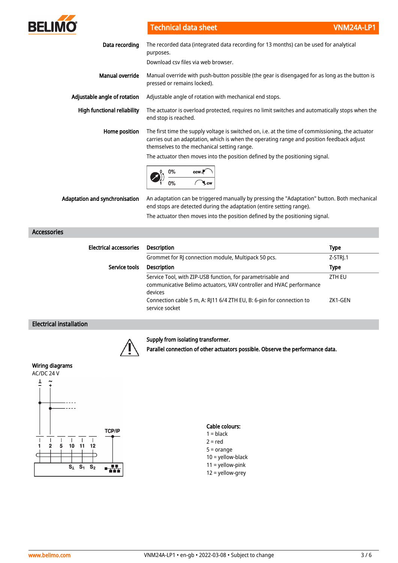

Technical data sheet VNM24A-LP1

| Data recording                     | The recorded data (integrated data recording for 13 months) can be used for analytical<br>purposes.<br>Download csy files via web browser.                                                                                                                                                                                    |  |  |
|------------------------------------|-------------------------------------------------------------------------------------------------------------------------------------------------------------------------------------------------------------------------------------------------------------------------------------------------------------------------------|--|--|
| Manual override                    | Manual override with push-button possible (the gear is disengaged for as long as the button is<br>pressed or remains locked).                                                                                                                                                                                                 |  |  |
| Adjustable angle of rotation       | Adjustable angle of rotation with mechanical end stops.                                                                                                                                                                                                                                                                       |  |  |
| <b>High functional reliability</b> | The actuator is overload protected, requires no limit switches and automatically stops when the<br>end stop is reached.                                                                                                                                                                                                       |  |  |
| Home position                      | The first time the supply voltage is switched on, i.e. at the time of commissioning, the actuator<br>carries out an adaptation, which is when the operating range and position feedback adjust<br>themselves to the mechanical setting range.<br>The actuator then moves into the position defined by the positioning signal. |  |  |
|                                    | 0%<br>ccw.P                                                                                                                                                                                                                                                                                                                   |  |  |
| Adaptation and synchronisation     | An adaptation can be triggered manually by pressing the "Adaptation" button. Both mechanical<br>end stops are detected during the adaptation (entire setting range).<br>The actuator then moves into the position defined by the positioning signal.                                                                          |  |  |
|                                    |                                                                                                                                                                                                                                                                                                                               |  |  |

| <b>Electrical accessories</b> | <b>Description</b>                                                                                                                                                                                                                      | <b>Type</b>       |
|-------------------------------|-----------------------------------------------------------------------------------------------------------------------------------------------------------------------------------------------------------------------------------------|-------------------|
|                               | Grommet for RJ connection module, Multipack 50 pcs.                                                                                                                                                                                     | $Z-STR$ ].1       |
| Service tools                 | <b>Description</b>                                                                                                                                                                                                                      | <b>Type</b>       |
|                               | Service Tool, with ZIP-USB function, for parametrisable and<br>communicative Belimo actuators, VAV controller and HVAC performance<br>devices<br>Connection cable 5 m, A: RJ11 6/4 ZTH EU, B: 6-pin for connection to<br>service socket | ZTH EU<br>ZK1-GEN |

# Electrical installation

Accessories



# Supply from isolating transformer.

Parallel connection of other actuators possible. Observe the performance data.

# Wiring diagrams



#### Cable colours:  $1 = **black**$  $2 = red$ 5 = orange  $10 =$  yellow-black 11 = yellow-pink 12 = yellow-grey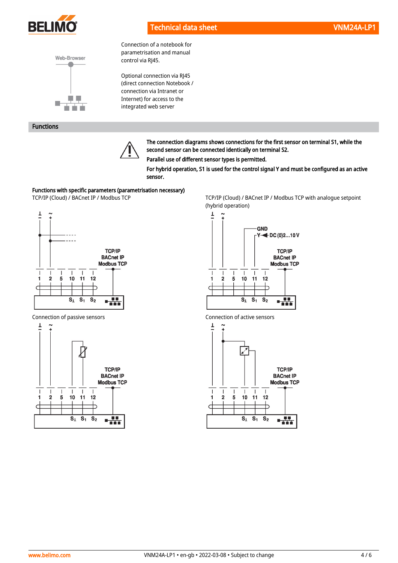

Connection of a notebook for parametrisation and manual

Optional connection via RJ45 (direct connection Notebook / connection via Intranet or Internet) for access to the integrated web server

control via RJ45.



### Functions



The connection diagrams shows connections for the first sensor on terminal S1, while the second sensor can be connected identically on terminal S2.

Parallel use of different sensor types is permitted.

For hybrid operation, S1 is used for the control signal Y and must be configured as an active sensor.

#### Functions with specific parameters (parametrisation necessary)



Connection of passive sensors Connection of active sensors



TCP/IP (Cloud) / BACnet IP / Modbus TCP TCP/IP (Cloud) / BACnet IP / Modbus TCP with analogue setpoint (hybrid operation)





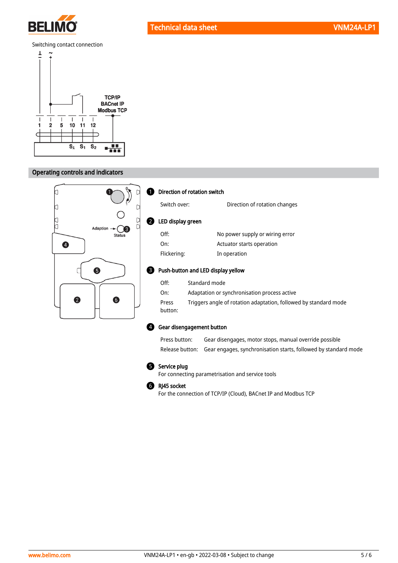

# Technical data sheet VNM24A-LP1

#### Switching contact connection



# Operating controls and indicators



#### **D** Direction of rotation switch

 $\boldsymbol{Q}$ 

| Switch over:      | Direction of rotation changes   |
|-------------------|---------------------------------|
| LED display green |                                 |
| Off:              | No power supply or wiring error |
| On:               | Actuator starts operation       |
| Flickering:       | In operation                    |

#### **B** Push-button and LED display yellow

| Off:             | Standard mode                                                    |
|------------------|------------------------------------------------------------------|
| On:              | Adaptation or synchronisation process active                     |
| Press<br>button: | Triggers angle of rotation adaptation, followed by standard mode |

#### Gear disengagement button 4

Press button: Gear disengages, motor stops, manual override possible Release button: Gear engages, synchronisation starts, followed by standard mode

#### **5** Service plug

For connecting parametrisation and service tools

#### RJ45 socket 6

For the connection of TCP/IP (Cloud), BACnet IP and Modbus TCP